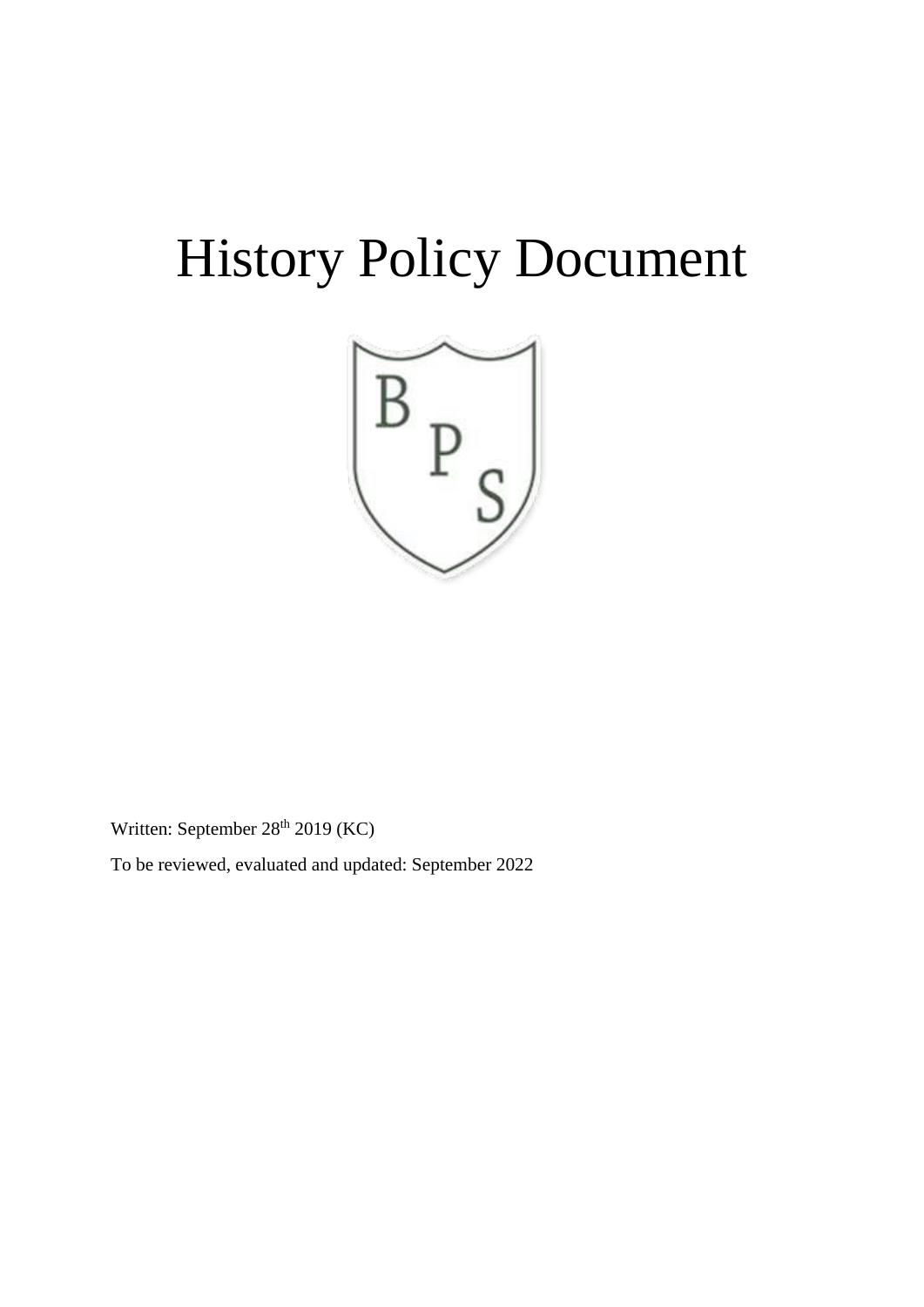# History Policy Document



Written: September 28<sup>th</sup> 2019 (KC)

To be reviewed, evaluated and updated: September 2022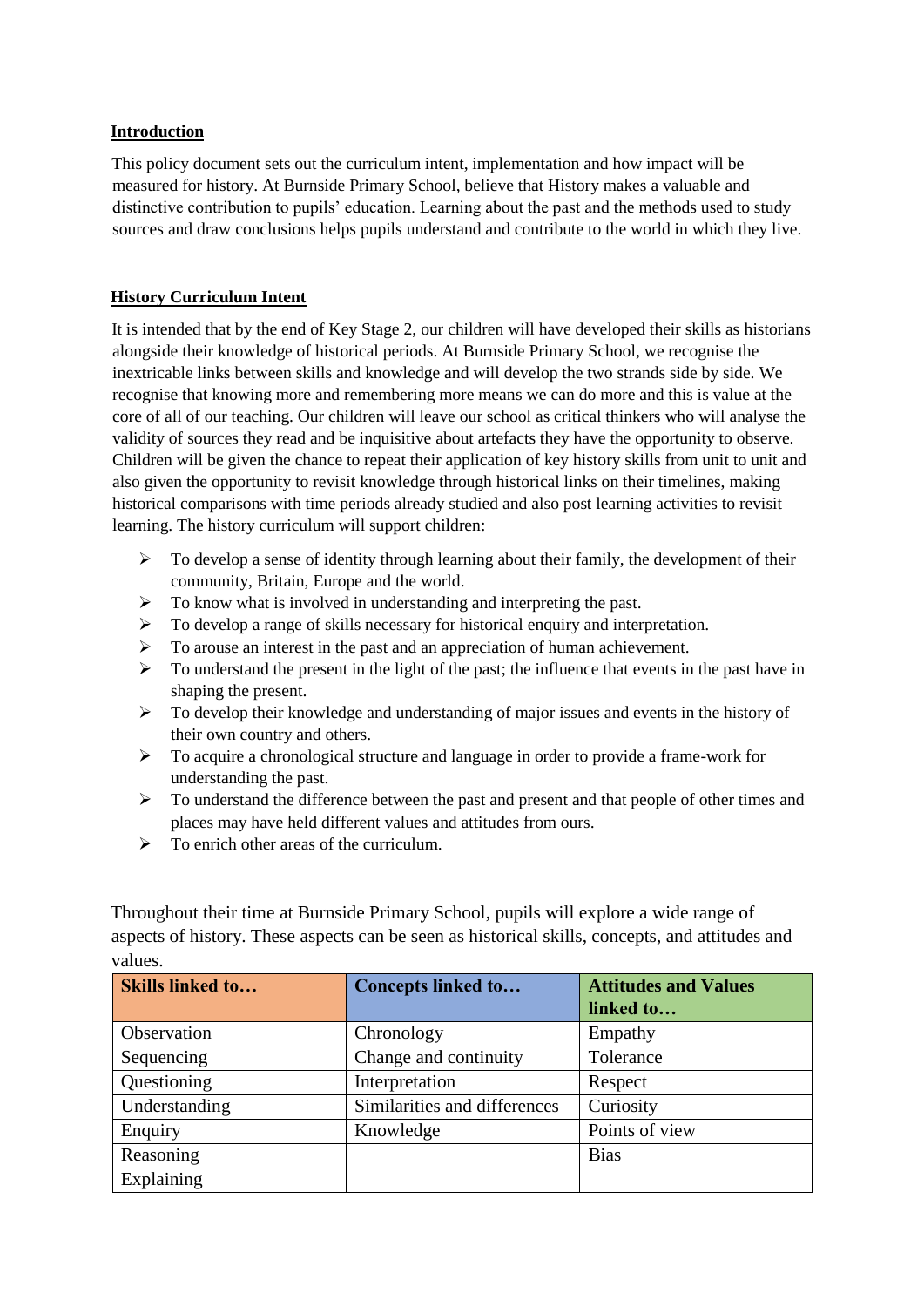## **Introduction**

This policy document sets out the curriculum intent, implementation and how impact will be measured for history. At Burnside Primary School, believe that History makes a valuable and distinctive contribution to pupils' education. Learning about the past and the methods used to study sources and draw conclusions helps pupils understand and contribute to the world in which they live.

## **History Curriculum Intent**

It is intended that by the end of Key Stage 2, our children will have developed their skills as historians alongside their knowledge of historical periods. At Burnside Primary School, we recognise the inextricable links between skills and knowledge and will develop the two strands side by side. We recognise that knowing more and remembering more means we can do more and this is value at the core of all of our teaching. Our children will leave our school as critical thinkers who will analyse the validity of sources they read and be inquisitive about artefacts they have the opportunity to observe. Children will be given the chance to repeat their application of key history skills from unit to unit and also given the opportunity to revisit knowledge through historical links on their timelines, making historical comparisons with time periods already studied and also post learning activities to revisit learning. The history curriculum will support children:

- $\triangleright$  To develop a sense of identity through learning about their family, the development of their community, Britain, Europe and the world.
- $\triangleright$  To know what is involved in understanding and interpreting the past.
- $\triangleright$  To develop a range of skills necessary for historical enquiry and interpretation.
- $\triangleright$  To arouse an interest in the past and an appreciation of human achievement.
- $\triangleright$  To understand the present in the light of the past; the influence that events in the past have in shaping the present.
- $\triangleright$  To develop their knowledge and understanding of major issues and events in the history of their own country and others.
- $\triangleright$  To acquire a chronological structure and language in order to provide a frame-work for understanding the past.
- $\triangleright$  To understand the difference between the past and present and that people of other times and places may have held different values and attitudes from ours.
- $\triangleright$  To enrich other areas of the curriculum.

Throughout their time at Burnside Primary School, pupils will explore a wide range of aspects of history. These aspects can be seen as historical skills, concepts, and attitudes and values.

| <b>Skills linked to</b> | <b>Concepts linked to</b>    | <b>Attitudes and Values</b> |
|-------------------------|------------------------------|-----------------------------|
|                         |                              | linked to                   |
| Observation             | Chronology                   | Empathy                     |
| Sequencing              | Change and continuity        | Tolerance                   |
| Questioning             | Interpretation               | Respect                     |
| Understanding           | Similarities and differences | Curiosity                   |
| Enquiry                 | Knowledge                    | Points of view              |
| Reasoning               |                              | <b>Bias</b>                 |
| Explaining              |                              |                             |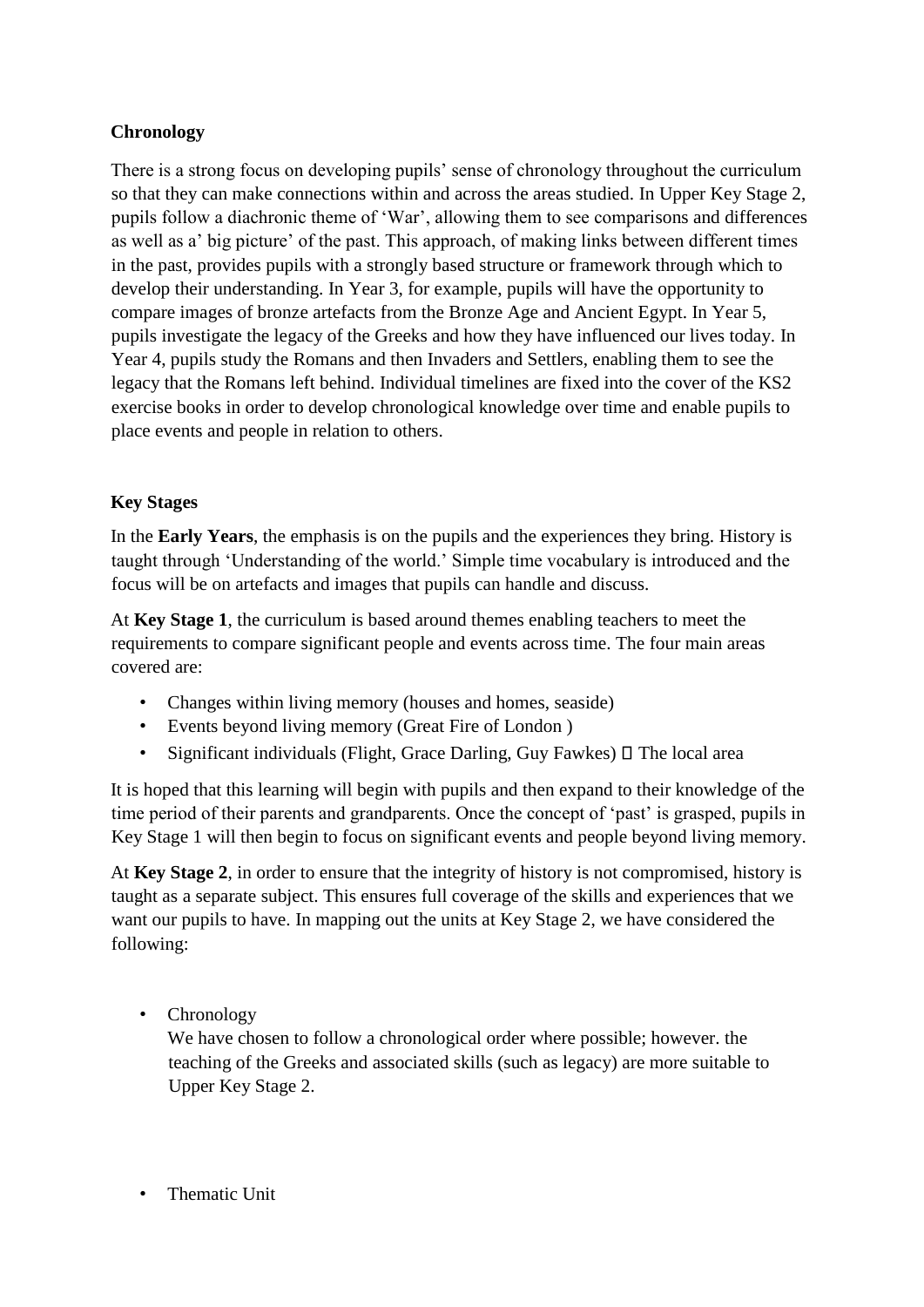# **Chronology**

There is a strong focus on developing pupils' sense of chronology throughout the curriculum so that they can make connections within and across the areas studied. In Upper Key Stage 2, pupils follow a diachronic theme of 'War', allowing them to see comparisons and differences as well as a' big picture' of the past. This approach, of making links between different times in the past, provides pupils with a strongly based structure or framework through which to develop their understanding. In Year 3, for example, pupils will have the opportunity to compare images of bronze artefacts from the Bronze Age and Ancient Egypt. In Year 5, pupils investigate the legacy of the Greeks and how they have influenced our lives today. In Year 4, pupils study the Romans and then Invaders and Settlers, enabling them to see the legacy that the Romans left behind. Individual timelines are fixed into the cover of the KS2 exercise books in order to develop chronological knowledge over time and enable pupils to place events and people in relation to others.

# **Key Stages**

In the **Early Years**, the emphasis is on the pupils and the experiences they bring. History is taught through 'Understanding of the world.' Simple time vocabulary is introduced and the focus will be on artefacts and images that pupils can handle and discuss.

At **Key Stage 1**, the curriculum is based around themes enabling teachers to meet the requirements to compare significant people and events across time. The four main areas covered are:

- Changes within living memory (houses and homes, seaside)
- Events beyond living memory (Great Fire of London )
- Significant individuals (Flight, Grace Darling, Guy Fawkes)  $\Box$  The local area

It is hoped that this learning will begin with pupils and then expand to their knowledge of the time period of their parents and grandparents. Once the concept of 'past' is grasped, pupils in Key Stage 1 will then begin to focus on significant events and people beyond living memory.

At **Key Stage 2**, in order to ensure that the integrity of history is not compromised, history is taught as a separate subject. This ensures full coverage of the skills and experiences that we want our pupils to have. In mapping out the units at Key Stage 2, we have considered the following:

• Chronology

We have chosen to follow a chronological order where possible; however. the teaching of the Greeks and associated skills (such as legacy) are more suitable to Upper Key Stage 2.

• Thematic Unit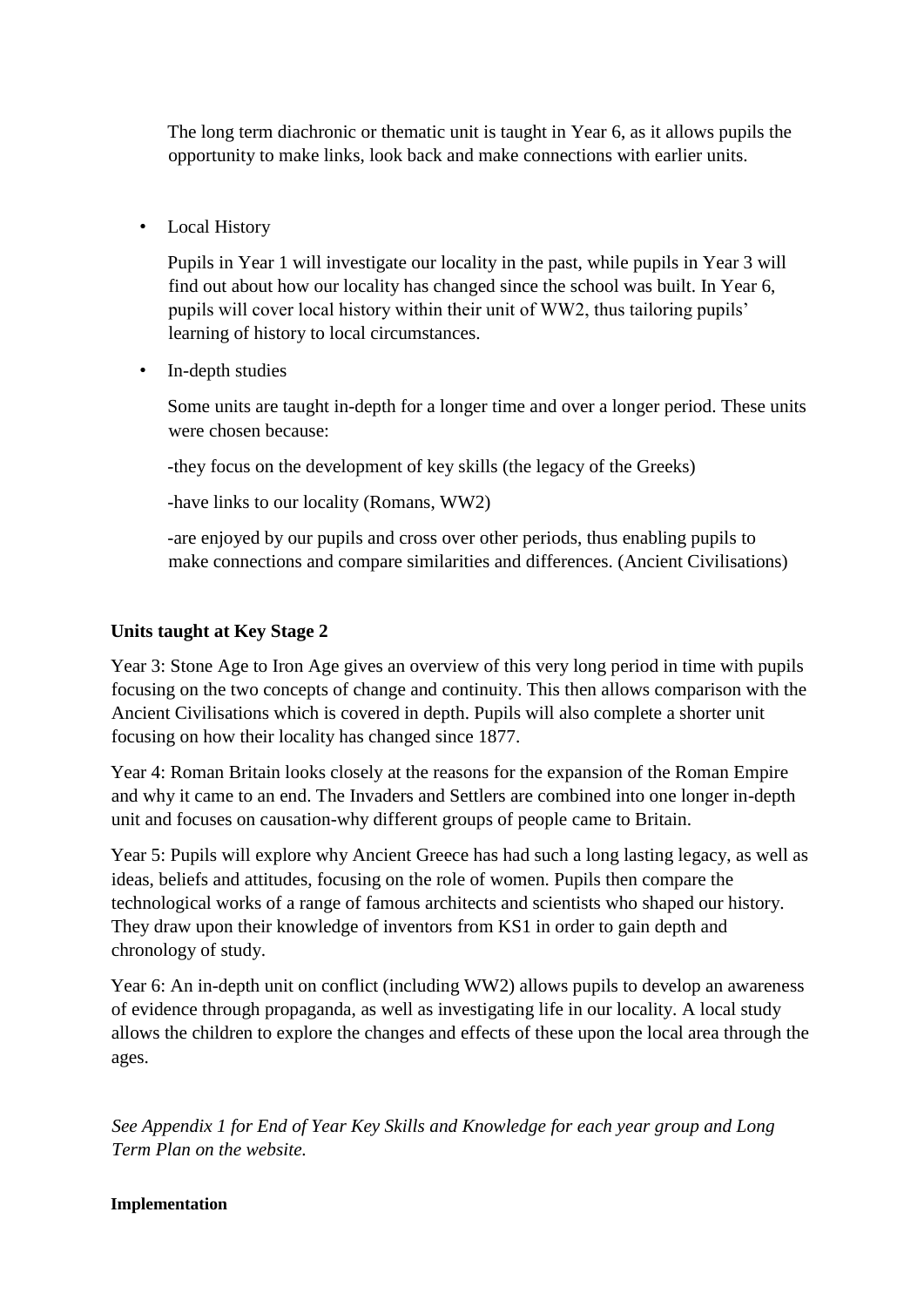The long term diachronic or thematic unit is taught in Year 6, as it allows pupils the opportunity to make links, look back and make connections with earlier units.

• Local History

Pupils in Year 1 will investigate our locality in the past, while pupils in Year 3 will find out about how our locality has changed since the school was built. In Year 6, pupils will cover local history within their unit of WW2, thus tailoring pupils' learning of history to local circumstances.

• In-depth studies

Some units are taught in-depth for a longer time and over a longer period. These units were chosen because:

-they focus on the development of key skills (the legacy of the Greeks)

-have links to our locality (Romans, WW2)

-are enjoyed by our pupils and cross over other periods, thus enabling pupils to make connections and compare similarities and differences. (Ancient Civilisations)

# **Units taught at Key Stage 2**

Year 3: Stone Age to Iron Age gives an overview of this very long period in time with pupils focusing on the two concepts of change and continuity. This then allows comparison with the Ancient Civilisations which is covered in depth. Pupils will also complete a shorter unit focusing on how their locality has changed since 1877.

Year 4: Roman Britain looks closely at the reasons for the expansion of the Roman Empire and why it came to an end. The Invaders and Settlers are combined into one longer in-depth unit and focuses on causation-why different groups of people came to Britain.

Year 5: Pupils will explore why Ancient Greece has had such a long lasting legacy, as well as ideas, beliefs and attitudes, focusing on the role of women. Pupils then compare the technological works of a range of famous architects and scientists who shaped our history. They draw upon their knowledge of inventors from KS1 in order to gain depth and chronology of study.

Year 6: An in-depth unit on conflict (including WW2) allows pupils to develop an awareness of evidence through propaganda, as well as investigating life in our locality. A local study allows the children to explore the changes and effects of these upon the local area through the ages.

*See Appendix 1 for End of Year Key Skills and Knowledge for each year group and Long Term Plan on the website.*

# **Implementation**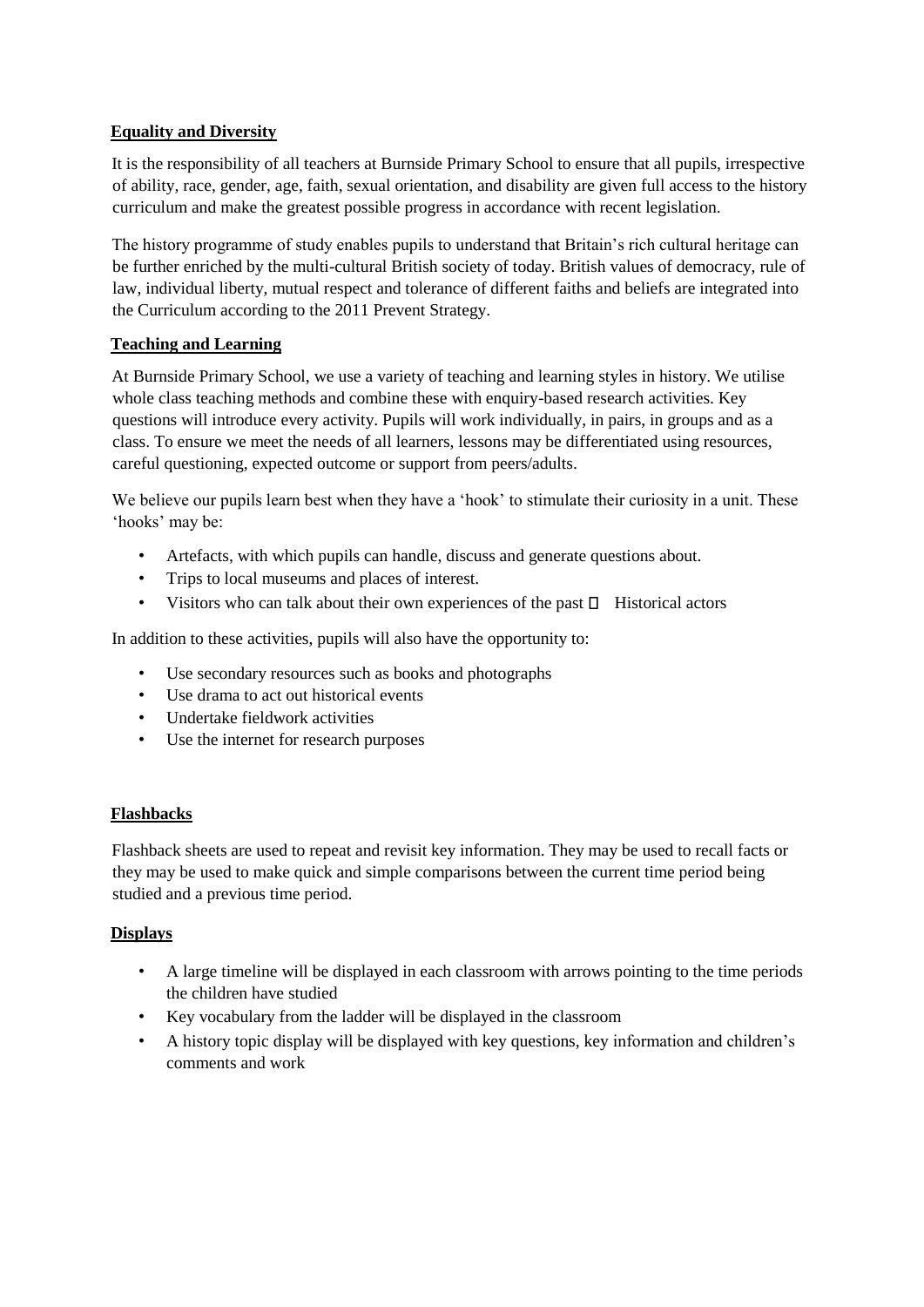# **Equality and Diversity**

It is the responsibility of all teachers at Burnside Primary School to ensure that all pupils, irrespective of ability, race, gender, age, faith, sexual orientation, and disability are given full access to the history curriculum and make the greatest possible progress in accordance with recent legislation.

The history programme of study enables pupils to understand that Britain's rich cultural heritage can be further enriched by the multi-cultural British society of today. British values of democracy, rule of law, individual liberty, mutual respect and tolerance of different faiths and beliefs are integrated into the Curriculum according to the 2011 Prevent Strategy.

# **Teaching and Learning**

At Burnside Primary School, we use a variety of teaching and learning styles in history. We utilise whole class teaching methods and combine these with enquiry-based research activities. Key questions will introduce every activity. Pupils will work individually, in pairs, in groups and as a class. To ensure we meet the needs of all learners, lessons may be differentiated using resources, careful questioning, expected outcome or support from peers/adults.

We believe our pupils learn best when they have a 'hook' to stimulate their curiosity in a unit. These 'hooks' may be:

- Artefacts, with which pupils can handle, discuss and generate questions about.
- Trips to local museums and places of interest.
- Visitors who can talk about their own experiences of the past  $\Box$  Historical actors

In addition to these activities, pupils will also have the opportunity to:

- Use secondary resources such as books and photographs
- Use drama to act out historical events
- Undertake fieldwork activities
- Use the internet for research purposes

# **Flashbacks**

Flashback sheets are used to repeat and revisit key information. They may be used to recall facts or they may be used to make quick and simple comparisons between the current time period being studied and a previous time period.

# **Displays**

- A large timeline will be displayed in each classroom with arrows pointing to the time periods the children have studied
- Key vocabulary from the ladder will be displayed in the classroom
- A history topic display will be displayed with key questions, key information and children's comments and work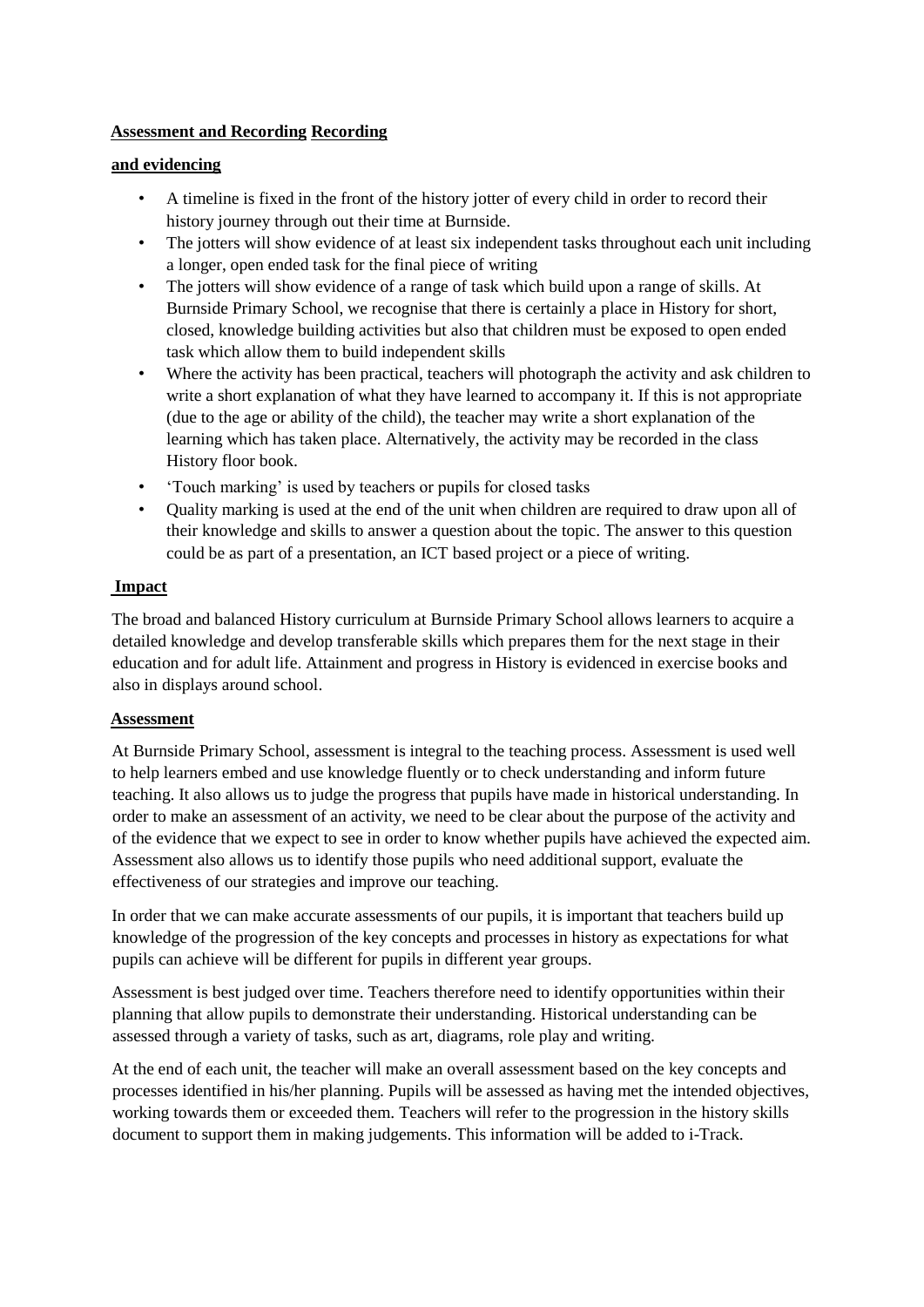# **Assessment and Recording Recording**

#### **and evidencing**

- A timeline is fixed in the front of the history jotter of every child in order to record their history journey through out their time at Burnside.
- The jotters will show evidence of at least six independent tasks throughout each unit including a longer, open ended task for the final piece of writing
- The jotters will show evidence of a range of task which build upon a range of skills. At Burnside Primary School, we recognise that there is certainly a place in History for short, closed, knowledge building activities but also that children must be exposed to open ended task which allow them to build independent skills
- Where the activity has been practical, teachers will photograph the activity and ask children to write a short explanation of what they have learned to accompany it. If this is not appropriate (due to the age or ability of the child), the teacher may write a short explanation of the learning which has taken place. Alternatively, the activity may be recorded in the class History floor book.
- 'Touch marking' is used by teachers or pupils for closed tasks
- Ouality marking is used at the end of the unit when children are required to draw upon all of their knowledge and skills to answer a question about the topic. The answer to this question could be as part of a presentation, an ICT based project or a piece of writing.

## **Impact**

The broad and balanced History curriculum at Burnside Primary School allows learners to acquire a detailed knowledge and develop transferable skills which prepares them for the next stage in their education and for adult life. Attainment and progress in History is evidenced in exercise books and also in displays around school.

#### **Assessment**

At Burnside Primary School, assessment is integral to the teaching process. Assessment is used well to help learners embed and use knowledge fluently or to check understanding and inform future teaching. It also allows us to judge the progress that pupils have made in historical understanding. In order to make an assessment of an activity, we need to be clear about the purpose of the activity and of the evidence that we expect to see in order to know whether pupils have achieved the expected aim. Assessment also allows us to identify those pupils who need additional support, evaluate the effectiveness of our strategies and improve our teaching.

In order that we can make accurate assessments of our pupils, it is important that teachers build up knowledge of the progression of the key concepts and processes in history as expectations for what pupils can achieve will be different for pupils in different year groups.

Assessment is best judged over time. Teachers therefore need to identify opportunities within their planning that allow pupils to demonstrate their understanding. Historical understanding can be assessed through a variety of tasks, such as art, diagrams, role play and writing.

At the end of each unit, the teacher will make an overall assessment based on the key concepts and processes identified in his/her planning. Pupils will be assessed as having met the intended objectives, working towards them or exceeded them. Teachers will refer to the progression in the history skills document to support them in making judgements. This information will be added to i-Track.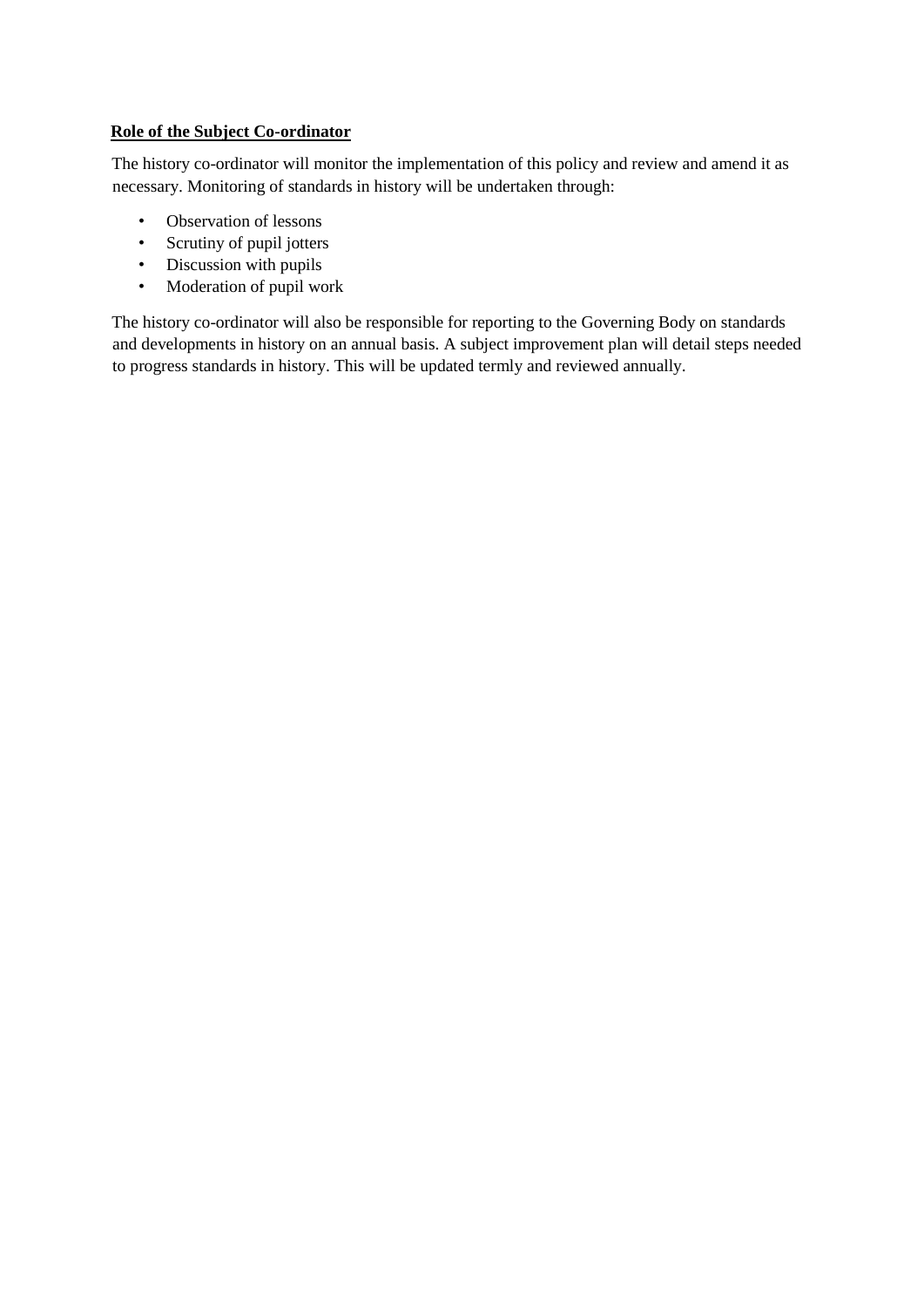# **Role of the Subject Co-ordinator**

The history co-ordinator will monitor the implementation of this policy and review and amend it as necessary. Monitoring of standards in history will be undertaken through:

- Observation of lessons
- Scrutiny of pupil jotters
- Discussion with pupils
- Moderation of pupil work

The history co-ordinator will also be responsible for reporting to the Governing Body on standards and developments in history on an annual basis. A subject improvement plan will detail steps needed to progress standards in history. This will be updated termly and reviewed annually.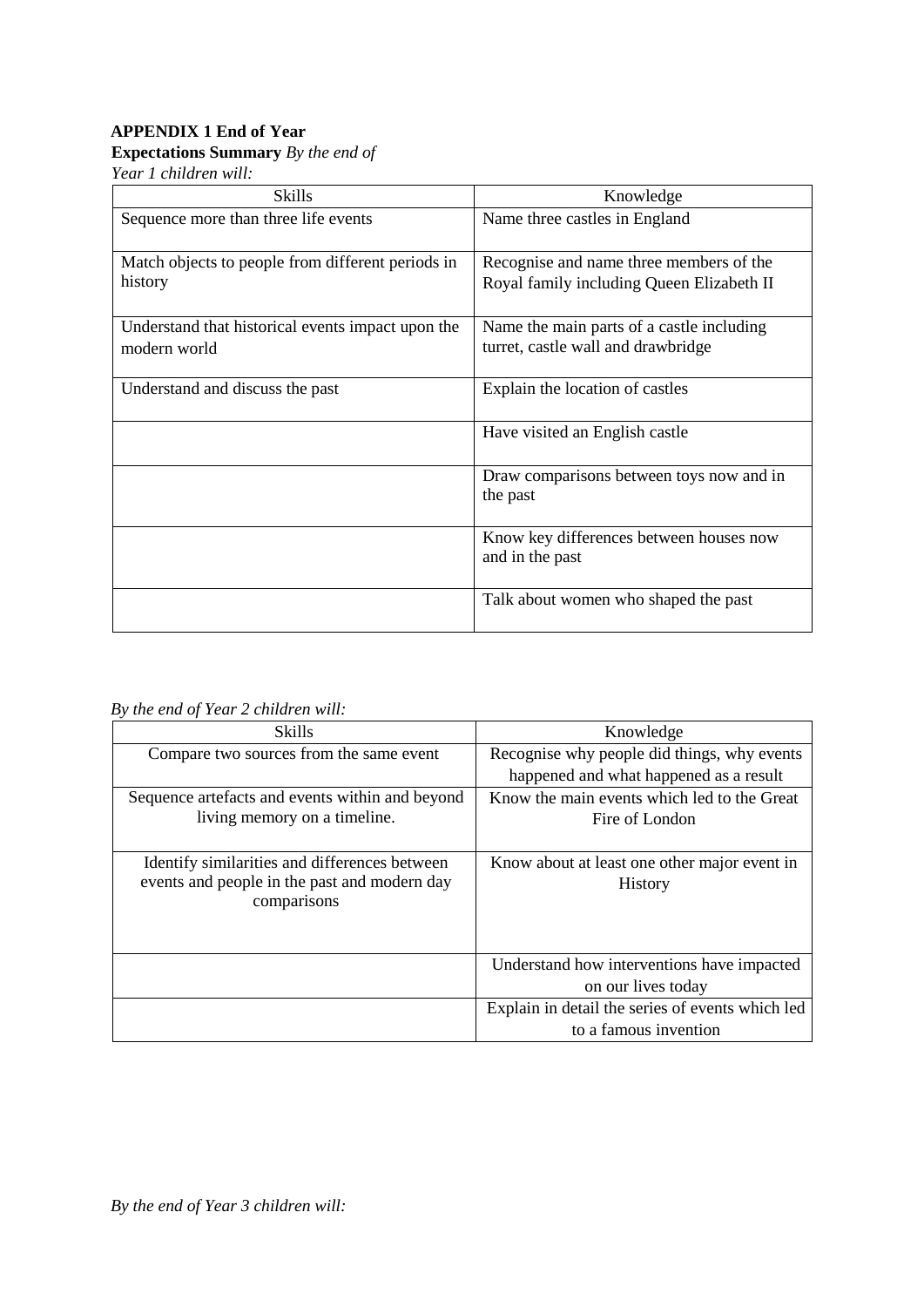# **APPENDIX 1 End of Year**

# **Expectations Summary** *By the end of*

*Year 1 children will:*

| <b>Skills</b>                                     | Knowledge                                                  |
|---------------------------------------------------|------------------------------------------------------------|
| Sequence more than three life events              | Name three castles in England                              |
| Match objects to people from different periods in | Recognise and name three members of the                    |
| history                                           | Royal family including Queen Elizabeth II                  |
| Understand that historical events impact upon the | Name the main parts of a castle including                  |
| modern world                                      | turret, castle wall and drawbridge                         |
| Understand and discuss the past                   | Explain the location of castles                            |
|                                                   | Have visited an English castle                             |
|                                                   | Draw comparisons between toys now and in<br>the past       |
|                                                   | Know key differences between houses now<br>and in the past |
|                                                   | Talk about women who shaped the past                       |

*By the end of Year 2 children will:* 

| <b>Skills</b>                                   | Knowledge                                        |
|-------------------------------------------------|--------------------------------------------------|
| Compare two sources from the same event         | Recognise why people did things, why events      |
|                                                 | happened and what happened as a result           |
| Sequence artefacts and events within and beyond | Know the main events which led to the Great      |
| living memory on a timeline.                    | Fire of London                                   |
|                                                 |                                                  |
| Identify similarities and differences between   | Know about at least one other major event in     |
| events and people in the past and modern day    | History                                          |
| comparisons                                     |                                                  |
|                                                 |                                                  |
|                                                 |                                                  |
|                                                 | Understand how interventions have impacted       |
|                                                 | on our lives today                               |
|                                                 | Explain in detail the series of events which led |
|                                                 | to a famous invention                            |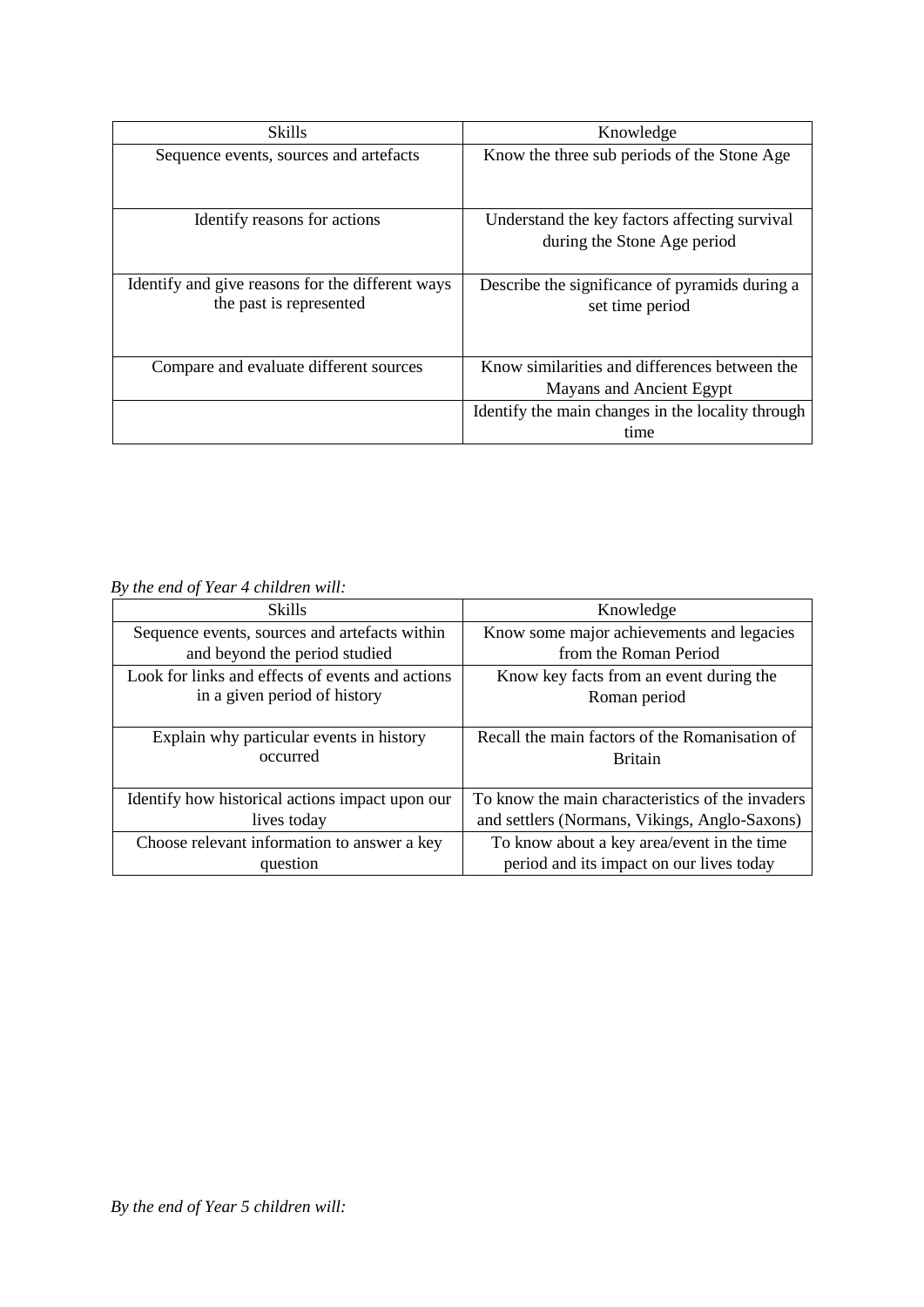| Skills                                                                      | Knowledge                                                                 |
|-----------------------------------------------------------------------------|---------------------------------------------------------------------------|
| Sequence events, sources and artefacts                                      | Know the three sub periods of the Stone Age                               |
| Identify reasons for actions                                                | Understand the key factors affecting survival                             |
|                                                                             | during the Stone Age period                                               |
| Identify and give reasons for the different ways<br>the past is represented | Describe the significance of pyramids during a<br>set time period         |
| Compare and evaluate different sources                                      | Know similarities and differences between the<br>Mayans and Ancient Egypt |
|                                                                             | Identify the main changes in the locality through                         |
|                                                                             | time                                                                      |

# *By the end of Year 4 children will:*

| <b>Skills</b>                                    | Knowledge                                        |
|--------------------------------------------------|--------------------------------------------------|
| Sequence events, sources and artefacts within    | Know some major achievements and legacies        |
| and beyond the period studied                    | from the Roman Period                            |
| Look for links and effects of events and actions | Know key facts from an event during the          |
| in a given period of history                     | Roman period                                     |
|                                                  |                                                  |
| Explain why particular events in history         | Recall the main factors of the Romanisation of   |
| occurred                                         | <b>Britain</b>                                   |
|                                                  |                                                  |
| Identify how historical actions impact upon our  | To know the main characteristics of the invaders |
| lives today                                      | and settlers (Normans, Vikings, Anglo-Saxons)    |
| Choose relevant information to answer a key      | To know about a key area/event in the time       |
| question                                         | period and its impact on our lives today         |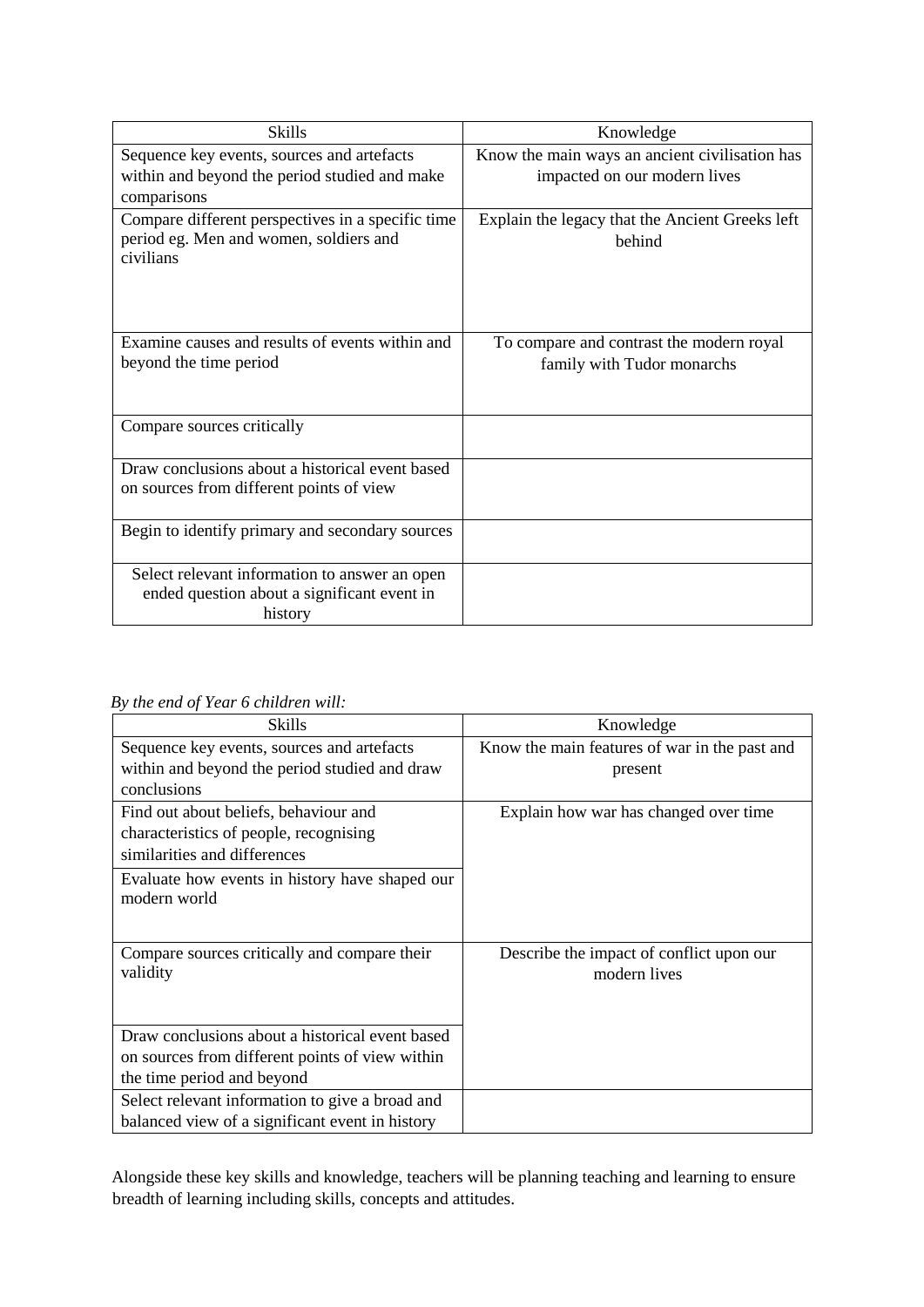| <b>Skills</b>                                                | Knowledge                                       |  |
|--------------------------------------------------------------|-------------------------------------------------|--|
| Sequence key events, sources and artefacts                   | Know the main ways an ancient civilisation has  |  |
| within and beyond the period studied and make<br>comparisons | impacted on our modern lives                    |  |
| Compare different perspectives in a specific time            | Explain the legacy that the Ancient Greeks left |  |
| period eg. Men and women, soldiers and                       | hehind                                          |  |
| civilians                                                    |                                                 |  |
|                                                              |                                                 |  |
|                                                              |                                                 |  |
| Examine causes and results of events within and              | To compare and contrast the modern royal        |  |
| beyond the time period                                       | family with Tudor monarchs                      |  |
|                                                              |                                                 |  |
| Compare sources critically                                   |                                                 |  |
| Draw conclusions about a historical event based              |                                                 |  |
| on sources from different points of view                     |                                                 |  |
|                                                              |                                                 |  |
| Begin to identify primary and secondary sources              |                                                 |  |
| Select relevant information to answer an open                |                                                 |  |
| ended question about a significant event in                  |                                                 |  |
| history                                                      |                                                 |  |

*By the end of Year 6 children will:* 

| Skills                                                         | Knowledge                                                |
|----------------------------------------------------------------|----------------------------------------------------------|
| Sequence key events, sources and artefacts                     | Know the main features of war in the past and            |
| within and beyond the period studied and draw                  | present                                                  |
| conclusions                                                    |                                                          |
| Find out about beliefs, behaviour and                          | Explain how war has changed over time                    |
| characteristics of people, recognising                         |                                                          |
| similarities and differences                                   |                                                          |
| Evaluate how events in history have shaped our<br>modern world |                                                          |
| Compare sources critically and compare their<br>validity       | Describe the impact of conflict upon our<br>modern lives |
| Draw conclusions about a historical event based                |                                                          |
| on sources from different points of view within                |                                                          |
| the time period and beyond                                     |                                                          |
| Select relevant information to give a broad and                |                                                          |
| balanced view of a significant event in history                |                                                          |

Alongside these key skills and knowledge, teachers will be planning teaching and learning to ensure breadth of learning including skills, concepts and attitudes.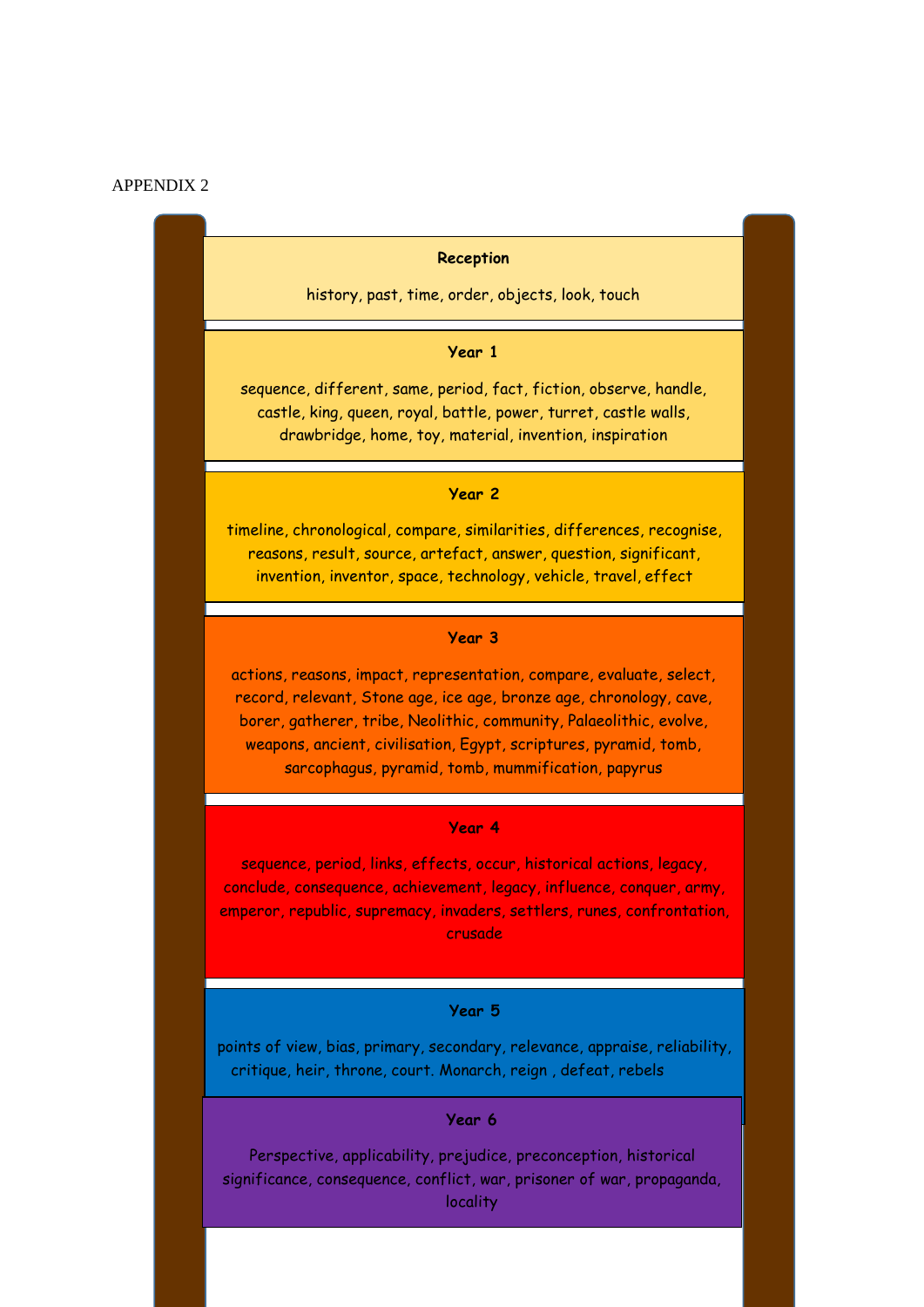#### APPENDIX 2

#### **Reception**

history, past, time, order, objects, look, touch

#### **Year 1**

sequence, different, same, period, fact, fiction, observe, handle, castle, king, queen, royal, battle, power, turret, castle walls, drawbridge, home, toy, material, invention, inspiration

#### **Year 2**

timeline, chronological, compare, similarities, differences, recognise, reasons, result, source, artefact, answer, question, significant, invention, inventor, space, technology, vehicle, travel, effect

#### **Year 3**

actions, reasons, impact, representation, compare, evaluate, select, record, relevant, Stone age, ice age, bronze age, chronology, cave, borer, gatherer, tribe, Neolithic, community, Palaeolithic, evolve, weapons, ancient, civilisation, Egypt, scriptures, pyramid, tomb, sarcophagus, pyramid, tomb, mummification, papyrus

#### **Year 4**

sequence, period, links, effects, occur, historical actions, legacy, conclude, consequence, achievement, legacy, influence, conquer, army, emperor, republic, supremacy, invaders, settlers, runes, confrontation, crusade

#### **Year 5**

points of view, bias, primary, secondary, relevance, appraise, reliability, critique, heir, throne, court. Monarch, reign , defeat, rebels

#### **Year 6**

Perspective, applicability, prejudice, preconception, historical significance, consequence, conflict, war, prisoner of war, propaganda, locality